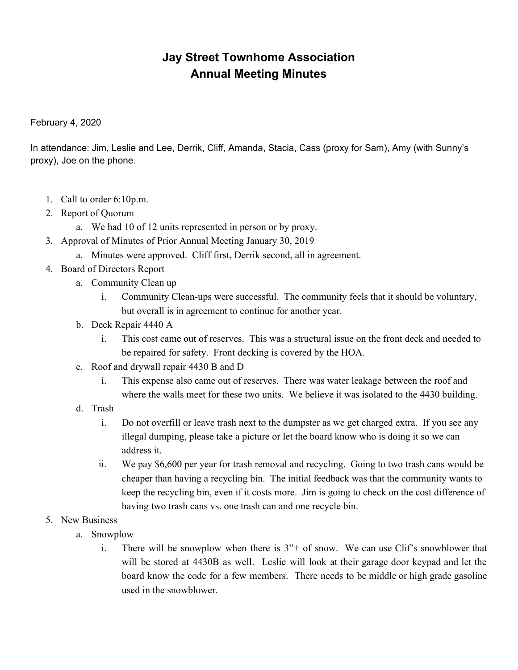## **Jay Street Townhome Association Annual Meeting Minutes**

February 4, 2020

In attendance: Jim, Leslie and Lee, Derrik, Cliff, Amanda, Stacia, Cass (proxy for Sam), Amy (with Sunny's proxy), Joe on the phone.

- 1. Call to order 6:10p.m.
- 2. Report of Quorum
	- a. We had 10 of 12 units represented in person or by proxy.
- 3. Approval of Minutes of Prior Annual Meeting January 30, 2019
	- a. Minutes were approved. Cliff first, Derrik second, all in agreement.
- 4. Board of Directors Report
	- a. Community Clean up
		- i. Community Clean-ups were successful. The community feels that it should be voluntary, but overall is in agreement to continue for another year.
	- b. Deck Repair 4440 A
		- i. This cost came out of reserves. This was a structural issue on the front deck and needed to be repaired for safety. Front decking is covered by the HOA.
	- c. Roof and drywall repair 4430 B and D
		- i. This expense also came out of reserves. There was water leakage between the roof and where the walls meet for these two units. We believe it was isolated to the 4430 building.
	- d. Trash
		- i. Do not overfill or leave trash next to the dumpster as we get charged extra. If you see any illegal dumping, please take a picture or let the board know who is doing it so we can address it.
		- ii. We pay \$6,600 per year for trash removal and recycling. Going to two trash cans would be cheaper than having a recycling bin. The initial feedback was that the community wants to keep the recycling bin, even if it costs more. Jim is going to check on the cost difference of having two trash cans vs. one trash can and one recycle bin.
- 5. New Business
	- a. Snowplow
		- i. There will be snowplow when there is  $3'' +$  of snow. We can use Clif's snowblower that will be stored at 4430B as well. Leslie will look at their garage door keypad and let the board know the code for a few members. There needs to be middle or high grade gasoline used in the snowblower.